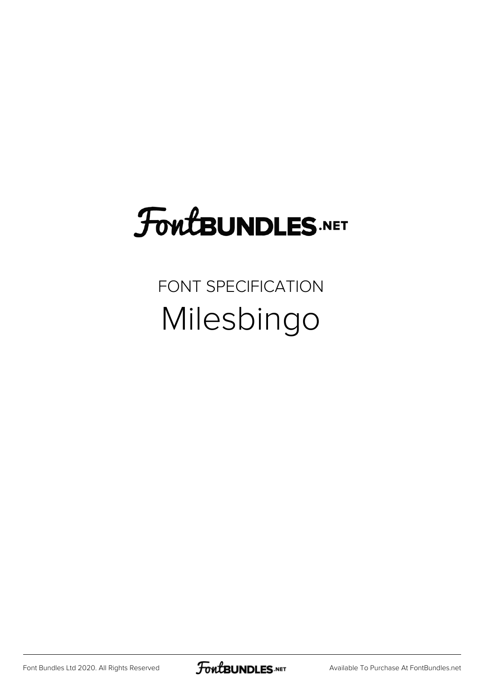## **FoutBUNDLES.NET**

FONT SPECIFICATION Milesbingo

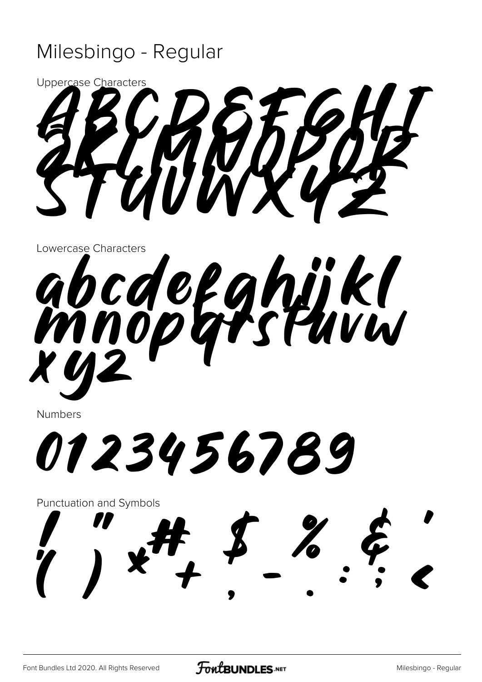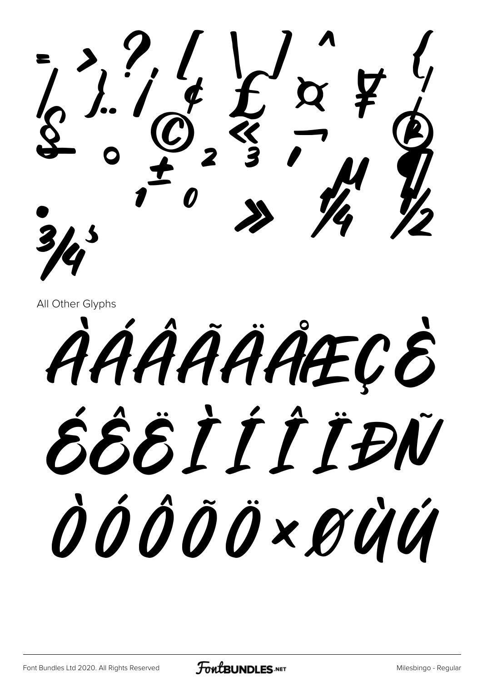$\frac{1}{2}$  ).  $\frac{7}{9}$   $\frac{1}{8}$   $\frac{1}{10}$ 

All Other Glyphs

AAAAAAAECE ÉÊË T T T T ĐỮ ÒÓÔÔÖרÜÜ

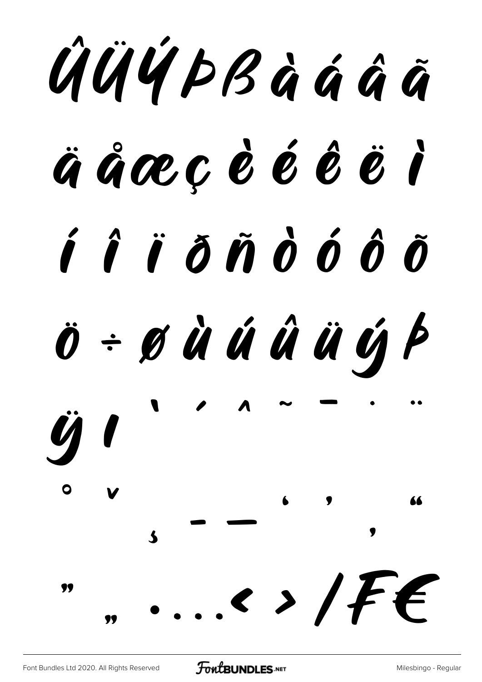